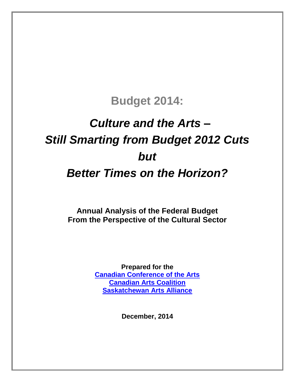## **Budget 2014:**

# *Culture and the Arts – Still Smarting from Budget 2012 Cuts but Better Times on the Horizon?*

**Annual Analysis of the Federal Budget From the Perspective of the Cultural Sector**

> **Prepared for the [Canadian Conference of the Arts](http://ccarts.ca/) [Canadian Arts Coalition](http://www.canadianartscoalition.com/) [Saskatchewan Arts Alliance](http://www.artsalliance.sk.ca/)**

> > **December, 2014**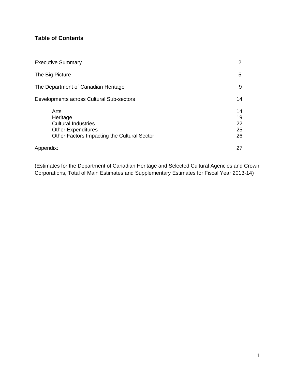### **Table of Contents**

| <b>Executive Summary</b>                                                                                                   | $\overline{2}$             |
|----------------------------------------------------------------------------------------------------------------------------|----------------------------|
| The Big Picture                                                                                                            | 5                          |
| The Department of Canadian Heritage                                                                                        | 9                          |
| Developments across Cultural Sub-sectors                                                                                   | 14                         |
| Arts<br>Heritage<br><b>Cultural Industries</b><br><b>Other Expenditures</b><br>Other Factors Impacting the Cultural Sector | 14<br>19<br>22<br>25<br>26 |
| Appendix:                                                                                                                  | 27                         |

(Estimates for the Department of Canadian Heritage and Selected Cultural Agencies and Crown Corporations, Total of Main Estimates and Supplementary Estimates for Fiscal Year 2013-14)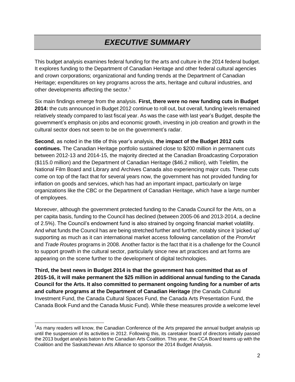### *EXECUTIVE SUMMARY*

This budget analysis examines federal funding for the arts and culture in the 2014 federal budget. It explores funding to the Department of Canadian Heritage and other federal cultural agencies and crown corporations; organizational and funding trends at the Department of Canadian Heritage; expenditures on key programs across the arts, heritage and cultural industries, and other developments affecting the sector.<sup>1</sup>

Six main findings emerge from the analysis. **First, there were no new funding cuts in Budget 2014:** the cuts announced in Budget 2012 continue to roll out, but overall, funding levels remained relatively steady compared to last fiscal year. As was the case with last year's Budget, despite the government's emphasis on jobs and economic growth, investing in job creation and growth in the cultural sector does not seem to be on the government's radar.

**Second**, as noted in the title of this year's analysis, **the impact of the Budget 2012 cuts continues.** The Canadian Heritage portfolio sustained close to \$200 million in permanent cuts between 2012-13 and 2014-15, the majority directed at the Canadian Broadcasting Corporation (\$115.0 million) and the Department of Canadian Heritage (\$46.2 million), with Telefilm, the National Film Board and Library and Archives Canada also experiencing major cuts. These cuts come on top of the fact that for several years now, the government has not provided funding for inflation on goods and services, which has had an important impact, particularly on large organizations like the CBC or the Department of Canadian Heritage, which have a large number of employees.

Moreover, although the government protected funding to the Canada Council for the Arts, on a per capita basis, funding to the Council has declined (between 2005-06 and 2013-2014, a decline of 2.5%). The Council's endowment fund is also strained by ongoing financial market volatility. And what funds the Council has are being stretched further and further, notably since it 'picked up' supporting as much as it can international market access following cancellation of the *PromArt* and *Trade Routes* programs in 2008. Another factor is the fact that it is a challenge for the Council to support growth in the cultural sector, particularly since new art practices and art forms are appearing on the scene further to the development of digital technologies.

**Third, the best news in Budget 2014 is that the government has committed that as of 2015-16, it will make permanent the \$25 million in additional annual funding to the Canada Council for the Arts. It also committed to permanent ongoing funding for a number of arts and culture programs at the Department of Canadian Heritage** (the Canada Cultural Investment Fund, the Canada Cultural Spaces Fund, the Canada Arts Presentation Fund, the Canada Book Fund and the Canada Music Fund). While these measures provide a welcome level

<sup>&</sup>lt;sup>1</sup>As many readers will know, the Canadian Conference of the Arts prepared the annual budget analysis up until the suspension of its activities in 2012. Following this, its caretaker board of directors initially passed the 2013 budget analysis baton to the Canadian Arts Coalition. This year, the CCA Board teams up with the Coalition and the Saskatchewan Arts Alliance to sponsor the 2014 Budget Analysis.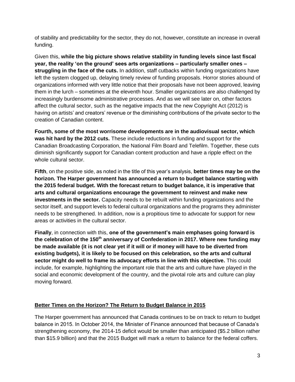of stability and predictability for the sector, they do not, however, constitute an increase in overall funding.

Given this, **while the big picture shows relative stability in funding levels since last fiscal year, the reality 'on the ground' sees arts organizations – particularly smaller ones – struggling in the face of the cuts.** In addition, staff cutbacks within funding organizations have left the system clogged up, delaying timely review of funding proposals. Horror stories abound of organizations informed with very little notice that their proposals have not been approved, leaving them in the lurch – sometimes at the eleventh hour. Smaller organizations are also challenged by increasingly burdensome administrative processes. And as we will see later on, other factors affect the cultural sector, such as the negative impacts that the new Copyright Act (2012) is having on artists' and creators' revenue or the diminishing contributions of the private sector to the creation of Canadian content.

**Fourth, some of the most worrisome developments are in the audiovisual sector, which was hit hard by the 2012 cuts.** These include reductions in funding and support for the Canadian Broadcasting Corporation, the National Film Board and Telefilm. Together, these cuts diminish significantly support for Canadian content production and have a ripple effect on the whole cultural sector.

**Fifth**, on the positive side, as noted in the title of this year's analysis, **better times may be on the horizon. The Harper government has announced a return to budget balance starting with the 2015 federal budget. With the forecast return to budget balance, it is imperative that arts and cultural organizations encourage the government to reinvest and make new investments in the sector.** Capacity needs to be rebuilt within funding organizations and the sector itself, and support levels to federal cultural organizations and the programs they administer needs to be strengthened. In addition, now is a propitious time to advocate for support for new areas or activities in the cultural sector.

**Finally**, in connection with this, **one of the government's main emphases going forward is the celebration of the 150th anniversary of Confederation in 2017. Where new funding may be made available (it is not clear yet if it will or if money will have to be diverted from existing budgets), it is likely to be focused on this celebration, so the arts and cultural sector might do well to frame its advocacy efforts in line with this objective.** This could include, for example, highlighting the important role that the arts and culture have played in the social and economic development of the country, and the pivotal role arts and culture can play moving forward.

#### **Better Times on the Horizon? The Return to Budget Balance in 2015**

The Harper government has announced that Canada continues to be on track to return to budget balance in 2015. In October 2014, the Minister of Finance announced that because of Canada's strengthening economy, the 2014-15 deficit would be smaller than anticipated (\$5.2 billion rather than \$15.9 billion) and that the 2015 Budget will mark a return to balance for the federal coffers.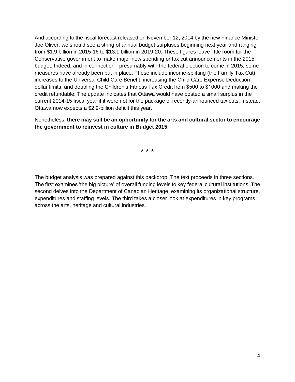And according to the fiscal forecast released on November 12, 2014 by the new Finance Minister Joe Oliver, we should see a string of annual budget surpluses beginning next year and ranging from \$1.9 billion in 2015-16 to \$13.1 billion in 2019-20. These figures leave little room for the Conservative government to make major new spending or tax cut announcements in the 2015 budget. Indeed, and in connection presumably with the federal election to come in 2015, some measures have already been put in place. These include income-splitting (the Family Tax Cut), increases to the Universal Child Care Benefit, increasing the Child Care Expense Deduction dollar limits, and doubling the Children's Fitness Tax Credit from \$500 to \$1000 and making the credit refundable. The update indicates that Ottawa would have posted a small surplus in the current 2014-15 fiscal year if it were not for the package of recently-announced tax cuts. Instead, Ottawa now expects a \$2.9-billion deficit this year.

Nonetheless, **there may still be an opportunity for the arts and cultural sector to encourage the government to reinvest in culture in Budget 2015**.

\* \* \*

The budget analysis was prepared against this backdrop. The text proceeds in three sections. The first examines 'the big picture' of overall funding levels to key federal cultural institutions. The second delves into the Department of Canadian Heritage, examining its organizational structure, expenditures and staffing levels. The third takes a closer look at expenditures in key programs across the arts, heritage and cultural industries.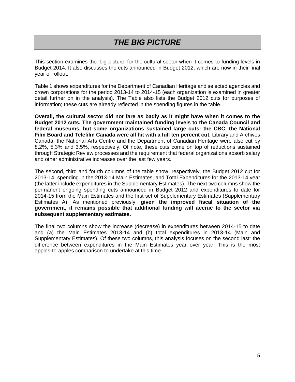### *THE BIG PICTURE*

This section examines the 'big picture' for the cultural sector when it comes to funding levels in Budget 2014. It also discusses the cuts announced in Budget 2012, which are now in their final year of rollout.

Table 1 shows expenditures for the Department of Canadian Heritage and selected agencies and crown corporations for the period 2013-14 to 2014-15 (each organization is examined in greater detail further on in the analysis). The Table also lists the Budget 2012 cuts for purposes of information; these cuts are already reflected in the spending figures in the table.

**Overall, the cultural sector did not fare as badly as it might have when it comes to the Budget 2012 cuts. The government maintained funding levels to the Canada Council and federal museums, but some organizations sustained large cuts: the CBC, the National Film Board and Telefilm Canada were all hit with a full ten percent cut.** Library and Archives Canada, the National Arts Centre and the Department of Canadian Heritage were also cut by 8.2%, 5.3% and 3.5%, respectively. Of note, these cuts come on top of reductions sustained through Strategic Review processes and the requirement that federal organizations absorb salary and other administrative increases over the last few years.

The second, third and fourth columns of the table show, respectively, the Budget 2012 cut for 2013-14, spending in the 2013-14 Main Estimates, and Total Expenditures for the 2013-14 year (the latter include expenditures in the Supplementary Estimates). The next two columns show the permanent ongoing spending cuts announced in Budget 2012 and expenditures to date for 2014-15 from the Main Estimates and the first set of Supplementary Estimates (Supplementary Estimates A). As mentioned previously, **given the improved fiscal situation of the government, it remains possible that additional funding will accrue to the sector via subsequent supplementary estimates.** 

The final two columns show the increase (decrease) in expenditures between 2014-15 to date and (a) the Main Estimates 2013-14 and (b) total expenditures in 2013-14 (Main and Supplementary Estimates). Of these two columns, this analysis focuses on the second last: the difference between expenditures in the Main Estimates year over year. This is the most apples-to-apples comparison to undertake at this time.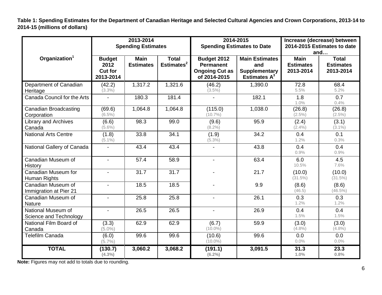**Table 1: Spending Estimates for the Department of Canadian Heritage and Selected Cultural Agencies and Crown Corporations, 2013-14 to 2014-15 (millions of dollars)**

|                                              |                                                                                                                                                                                                                                                                                   | 2013-2014<br><b>Spending Estimates</b> |                                              | 2014-2015<br><b>Spending Estimates to Date</b> |         | Increase (decrease) between<br>2014-2015 Estimates to date<br>and |                      |  |
|----------------------------------------------|-----------------------------------------------------------------------------------------------------------------------------------------------------------------------------------------------------------------------------------------------------------------------------------|----------------------------------------|----------------------------------------------|------------------------------------------------|---------|-------------------------------------------------------------------|----------------------|--|
| Organization <sup>1</sup>                    | <b>Main</b><br><b>Total</b><br>Budget 2012<br><b>Main Estimates</b><br><b>Budget</b><br>Estimates <sup>2</sup><br><b>Estimates</b><br><b>Permanent</b><br>2012<br>and<br>Cut for<br><b>Ongoing Cut as</b><br><b>Supplementary</b><br>Estimates $A^3$<br>2013-2014<br>of 2014-2015 |                                        | <b>Main</b><br><b>Estimates</b><br>2013-2014 | <b>Total</b><br><b>Estimates</b><br>2013-2014  |         |                                                                   |                      |  |
| Department of Canadian<br>Heritage           | (42.2)<br>$(3.3\%)$                                                                                                                                                                                                                                                               | 1,317.2                                | 1,321.6                                      | (46.2)<br>$(3.5\%)$                            | 1,390.0 | 72.8<br>5.5%                                                      | 68.4<br>5.2%         |  |
| Canada Council for the Arts                  |                                                                                                                                                                                                                                                                                   | 180.3                                  | 181.4                                        | $\overline{a}$                                 | 182.1   | 1.8<br>1.0%                                                       | 0.7<br>0.4%          |  |
| <b>Canadian Broadcasting</b><br>Corporation  | (69.6)<br>$(6.5\%)$                                                                                                                                                                                                                                                               | 1,064.8                                | 1,064.8                                      | (115.0)<br>$(10.7\%)$                          | 1,038.0 | (26.8)<br>$(2.5\%)$                                               | (26.8)<br>$(2.5\%)$  |  |
| Library and Archives<br>Canada               | (6.6)<br>$(5.6\%)$                                                                                                                                                                                                                                                                | 98.3                                   | 99.0                                         | (9.6)<br>$(8.2\%)$                             | 95.9    | (2.4)<br>$(2.4\%)$                                                | (3.1)<br>$(3.1\%)$   |  |
| <b>National Arts Centre</b>                  | (1.8)<br>$(5.1\%)$                                                                                                                                                                                                                                                                | 33.8                                   | 34.1                                         | (1.9)<br>$(5.3\%)$                             | 34.2    | 0.4<br>1.2%                                                       | 0.1<br>0.3%          |  |
| National Gallery of Canada                   | $\overline{a}$                                                                                                                                                                                                                                                                    | 43.4                                   | 43.4                                         | $\overline{\phantom{0}}$                       | 43.8    | 0.4<br>0.9%                                                       | 0.4<br>0.9%          |  |
| Canadian Museum of<br>History                | $\blacksquare$                                                                                                                                                                                                                                                                    | 57.4                                   | 58.9                                         | $\overline{\phantom{a}}$                       | 63.4    | 6.0<br>10.5%                                                      | 4.5<br>7.6%          |  |
| Canadian Museum for<br>Human Rights          | $\overline{a}$                                                                                                                                                                                                                                                                    | 31.7                                   | $\overline{31.7}$                            |                                                | 21.7    | (10.0)<br>$(31.5\%)$                                              | (10.0)<br>$(31.5\%)$ |  |
| Canadian Museum of<br>Immigration at Pier 21 |                                                                                                                                                                                                                                                                                   | 18.5                                   | 18.5                                         | $\overline{\phantom{0}}$                       | 9.9     | (8.6)<br>(46.5)                                                   | (8.6)<br>$(46.5\%)$  |  |
| Canadian Museum of<br><b>Nature</b>          | $\blacksquare$                                                                                                                                                                                                                                                                    | 25.8                                   | 25.8                                         | $\overline{\phantom{a}}$                       | 26.1    | 0.3<br>1.2%                                                       | 0.3<br>1.2%          |  |
| National Museum of<br>Science and Technology | $\blacksquare$                                                                                                                                                                                                                                                                    | 26.5                                   | 26.5                                         | $\blacksquare$                                 | 26.9    | 0.4<br>1.5%<br>(3.0)                                              | 0.4<br>1.5%          |  |
| National Film Board of<br>Canada             | (3.3)<br>$(5.0\%)$                                                                                                                                                                                                                                                                | 62.9                                   | 62.9                                         | (6.7)<br>$(10.0\%)$                            | 59.9    |                                                                   | (3.0)<br>$(4.8\%)$   |  |
| <b>Telefilm Canada</b>                       | (6.0)<br>$(5.7\%)$                                                                                                                                                                                                                                                                | 99.6                                   | 99.6                                         | (10.6)<br>99.6<br>$(10.0\%)$                   |         | 0.0<br>0.0%                                                       | 0.0<br>0.0%          |  |
| <b>TOTAL</b>                                 | (130.7)<br>$(4.3\%)$                                                                                                                                                                                                                                                              | 3,060.2                                | 3,068.2                                      | (191.1)<br>$(6.2\%)$                           | 3,091.5 | 31.3<br>1.0%                                                      | 23.3<br>0.8%         |  |

**Note:** Figures may not add to totals due to rounding.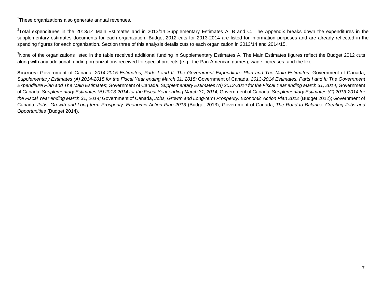<sup>1</sup>These organizations also generate annual revenues.

 $^{2}$ Total expenditures in the 2013/14 Main Estimates and in 2013/14 Supplementary Estimates A, B and C. The Appendix breaks down the expenditures in the supplementary estimates documents for each organization. Budget 2012 cuts for 2013-2014 are listed for information purposes and are already reflected in the spending figures for each organization. Section three of this analysis details cuts to each organization in 2013/14 and 2014/15.

<sup>3</sup>None of the organizations listed in the table received additional funding in Supplementary Estimates A. The Main Estimates figures reflect the Budget 2012 cuts along with any additional funding organizations received for special projects (e.g., the Pan American games), wage increases, and the like.

**Sources:** Government of Canada, *2014-2015 Estimates, Parts I and II: The Government Expenditure Plan and The Main Estimates*; Government of Canada, *Supplementary Estimates (A) 2014-2015 for the Fiscal Year ending March 31, 2015;* Government of Canada, *2013-2014 Estimates, Parts I and II: The Government Expenditure Plan and The Main Estimates*; Government of Canada, *Supplementary Estimates (A) 2013-2014 for the Fiscal Year ending March 31, 2014;* Government of Canada, *Supplementary Estimates (B) 2013-2014 for the Fiscal Year ending March 31, 2014;* Government of Canada, *Supplementary Estimates (C) 2013-2014 for the Fiscal Year ending March 31, 2014;* Government of Canada, *Jobs, Growth and Long-term Prosperity: Economic Action Plan 2012* (Budget 2012); Government of Canada, *Jobs, Growth and Long-term Prosperity: Economic Action Plan 2013* (Budget 2013); Government of Canada, *The Road to Balance: Creating Jobs and Opportunities* (Budget 2014).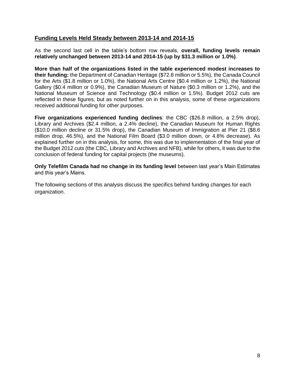#### **Funding Levels Held Steady between 2013-14 and 2014-15**

As the second last cell in the table's bottom row reveals, **overall, funding levels remain relatively unchanged between 2013-14 and 2014-15 (up by \$31.3 million or 1.0%)**.

**More than half of the organizations listed in the table experienced modest increases to their funding:** the Department of Canadian Heritage (\$72.8 million or 5.5%), the Canada Council for the Arts (\$1.8 million or 1.0%), the National Arts Centre (\$0.4 million or 1.2%), the National Gallery (\$0.4 million or 0.9%), the Canadian Museum of Nature (\$0.3 million or 1.2%), and the National Museum of Science and Technology (\$0.4 million or 1.5%). Budget 2012 cuts are reflected in these figures, but as noted further on in this analysis, some of these organizations received additional funding for other purposes.

**Five organizations experienced funding declines**: the CBC (\$26.8 million, a 2.5% drop), Library and Archives (\$2.4 million, a 2.4% decline), the Canadian Museum for Human Rights (\$10.0 million decline or 31.5% drop), the Canadian Museum of Immigration at Pier 21 (\$8.6 million drop, 46.5%), and the National Film Board (\$3.0 million down, or 4.8% decrease). As explained further on in this analysis, for some, this was due to implementation of the final year of the Budget 2012 cuts (the CBC, Library and Archives and NFB), while for others, it was due to the conclusion of federal funding for capital projects (the museums).

**Only Telefilm Canada had no change in its funding level** between last year's Main Estimates and this year's Mains.

The following sections of this analysis discuss the specifics behind funding changes for each organization.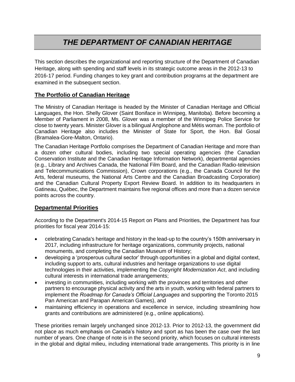### *THE DEPARTMENT OF CANADIAN HERITAGE*

This section describes the organizational and reporting structure of the Department of Canadian Heritage, along with spending and staff levels in its strategic outcome areas in the 2012-13 to 2016-17 period. Funding changes to key grant and contribution programs at the department are examined in the subsequent section.

#### **The Portfolio of Canadian Heritage**

The Ministry of Canadian Heritage is headed by the Minister of Canadian Heritage and Official Languages, the Hon. Shelly Glover (Saint Boniface in Winnipeg, Manitoba). Before becoming a Member of Parliament in 2008, Ms. Glover was a member of the Winnipeg Police Service for close to twenty years. Minister Glover is a bilingual Anglophone and Métis woman. The portfolio of Canadian Heritage also includes the Minister of State for Sport, the Hon. Bal Gosal (Bramalea-Gore-Malton, Ontario).

The Canadian Heritage Portfolio comprises the Department of Canadian Heritage and more than a dozen other cultural bodies, including two special operating agencies (the Canadian Conservation Institute and the Canadian Heritage Information Network), departmental agencies (e.g., Library and Archives Canada, the National Film Board, and the Canadian Radio-television and Telecommunications Commission), Crown corporations (e.g., the Canada Council for the Arts, federal museums, the National Arts Centre and the Canadian Broadcasting Corporation) and the Canadian Cultural Property Export Review Board. In addition to its headquarters in Gatineau, Québec, the Department maintains five regional offices and more than a dozen service points across the country.

#### **Departmental Priorities**

According to the Department's 2014-15 Report on Plans and Priorities, the Department has four priorities for fiscal year 2014-15:

- celebrating Canada's heritage and history in the lead-up to the country's 150th anniversary in 2017, including infrastructure for heritage organizations, community projects, national monuments, and completing the Canadian Museum of History;
- developing a 'prosperous cultural sector' through opportunities in a global and digital context, including support to arts, cultural industries and heritage organizations to use digital technologies in their activities, implementing the *Copyright Modernization Act*, and including cultural interests in international trade arrangements;
- investing in communities, including working with the provinces and territories and other partners to encourage physical activity and the arts in youth, working with federal partners to implement the *Roadmap for Canada's Official Languages* and supporting the Toronto 2015 Pan American and Parapan American Games), and
- maintaining efficiency in operations and excellence in service, including streamlining how grants and contributions are administered (e.g., online applications).

These priorities remain largely unchanged since 2012-13. Prior to 2012-13, the government did not place as much emphasis on Canada's history and sport as has been the case over the last number of years. One change of note is in the second priority, which focuses on cultural interests in the global and digital milieu, including international trade arrangements. This priority is in line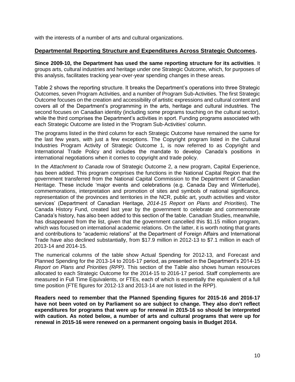with the interests of a number of arts and cultural organizations.

#### **Departmental Reporting Structure and Expenditures Across Strategic Outcomes.**

**Since 2009-10, the Department has used the same reporting structure for its activities**. It groups arts, cultural industries and heritage under one Strategic Outcome, which, for purposes of this analysis, facilitates tracking year-over-year spending changes in these areas.

Table 2 shows the reporting structure. It breaks the Department's operations into three Strategic Outcomes, seven Program Activities, and a number of Program Sub-Activities. The first Strategic Outcome focuses on the creation and accessibility of artistic expressions and cultural content and covers all of the Department's programming in the arts, heritage and cultural industries. The second focuses on Canadian identity (including some programs touching on the cultural sector), while the third comprises the Department's activities in sport. Funding programs associated with each Strategic Outcome are listed in the 'Program Sub-Activities' column.

The programs listed in the third column for each Strategic Outcome have remained the same for the last few years, with just a few exceptions. The Copyright program listed in the Cultural Industries Program Activity of Strategic Outcome 1, is now referred to as Copyright and International Trade Policy and includes the mandate to develop Canada's positions in international negotiations when it comes to copyright and trade policy.

In the *Attachment to Canada* row of Strategic Outcome 2, a new program, Capital Experience, has been added. This program comprises the functions in the National Capital Region that the government transferred from the National Capital Commission to the Department of Canadian Heritage. These include 'major events and celebrations (e.g. Canada Day and Winterlude), commemorations, interpretation and promotion of sites and symbols of national significance, representation of the provinces and territories in the NCR, public art, youth activities and visitor services' (Department of Canadian Heritage, *2014-15 Report on Plans and Priorities*). The Canada History Fund, created last year by the government to celebrate and commemorate Canada's history, has also been added to this section of the table. Canadian Studies, meanwhile, has disappeared from the list, given that the government cancelled this \$1.15 million program, which was focused on international academic relations. On the latter, it is worth noting that grants and contributions to "academic relations" at the Department of Foreign Affairs and International Trade have also declined substantially, from \$17.9 million in 2012-13 to \$7.1 million in each of 2013-14 and 2014-15.

The numerical columns of the table show Actual Spending for 2012-13, and Forecast and Planned Spending for the 2013-14 to 2016-17 period, as presented in the Department's 2014-15 *Report on Plans and Priorities (RPP)*. This section of the Table also shows human resources allocated to each Strategic Outcome for the 2014-15 to 2016-17 period. Staff complements are measured in Full Time Equivalents, or FTEs, each of which is essentially the equivalent of a full time position (FTE figures for 2012-13 and 2013-14 are not listed in the RPP).

**Readers need to remember that the Planned Spending figures for 2015-16 and 2016-17 have not been voted on by Parliament so are subject to change. They also don't reflect expenditures for programs that were up for renewal in 2015-16 so should be interpreted with caution. As noted below, a number of arts and cultural programs that were up for renewal in 2015-16 were renewed on a permanent ongoing basis in Budget 2014.**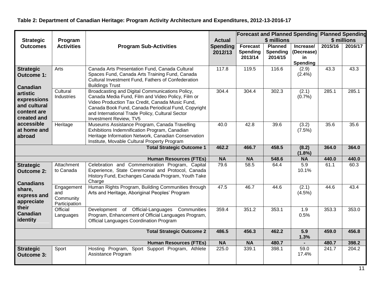|                                                                       |                                                 |                                                                                                                                                                                                                                                                                             |                            |                                               |                                              | <b>Forecast and Planned Spending Planned Spending</b> |         |         |
|-----------------------------------------------------------------------|-------------------------------------------------|---------------------------------------------------------------------------------------------------------------------------------------------------------------------------------------------------------------------------------------------------------------------------------------------|----------------------------|-----------------------------------------------|----------------------------------------------|-------------------------------------------------------|---------|---------|
| <b>Strategic</b>                                                      | Program                                         | <b>Actual</b>                                                                                                                                                                                                                                                                               |                            | \$ millions                                   | \$ millions                                  |                                                       |         |         |
| <b>Outcomes</b>                                                       | <b>Activities</b>                               | <b>Program Sub-Activities</b>                                                                                                                                                                                                                                                               | <b>Spending</b><br>2012/13 | <b>Forecast</b><br><b>Spending</b><br>2013/14 | <b>Planned</b><br><b>Spending</b><br>2014/15 | Increase/<br>(Decrease)<br>in<br><b>Spending</b>      | 2015/16 | 2016/17 |
| <b>Strategic</b><br><b>Outcome 1:</b><br><b>Canadian</b>              | Arts                                            | Canada Arts Presentation Fund, Canada Cultural<br>Spaces Fund, Canada Arts Training Fund, Canada<br>Cultural Investment Fund, Fathers of Confederation<br><b>Buildings Trust</b>                                                                                                            | 117.8                      | 119.5                                         | 116.6                                        | (2.9)<br>$(2.4\%)$                                    | 43.3    | 43.3    |
| artistic<br>expressions<br>and cultural<br>content are<br>created and | Cultural<br>Industries                          | Broadcasting and Digital Communications Policy,<br>Canada Media Fund, Film and Video Policy, Film or<br>Video Production Tax Credit, Canada Music Fund,<br>Canada Book Fund, Canada Periodical Fund, Copyright<br>and International Trade Policy, Cultural Sector<br>Investment Review, TV5 | 304.4                      | 304.4                                         | 302.3                                        | (2.1)<br>(0.7%                                        | 285.1   | 285.1   |
| accessible<br>at home and<br>abroad                                   | Heritage                                        | Museums Assistance Program, Canada Travelling<br>Exhibitions Indemnification Program, Canadian<br>Heritage Information Network, Canadian Conservation<br>Institute, Movable Cultural Property Program                                                                                       | 40.0                       | 42.8                                          | 39.6                                         | (3.2)<br>(7.5%)                                       | 35.6    | 35.6    |
|                                                                       |                                                 | <b>Total Strategic Outcome 1</b>                                                                                                                                                                                                                                                            | 462.2                      | 466.7                                         | 458.5                                        | (8.2)<br>$(1.8\%)$                                    | 364.0   | 364.0   |
|                                                                       |                                                 | <b>Human Resources (FTEs)</b>                                                                                                                                                                                                                                                               | <b>NA</b>                  | <b>NA</b>                                     | 548.6                                        | <b>NA</b>                                             | 440.0   | 440.0   |
| <b>Strategic</b><br><b>Outcome 2:</b><br><b>Canadians</b>             | Attachment<br>to Canada                         | Celebration and Commemoration Program, Capital<br>Experience, State Ceremonial and Protocol, Canada<br>History Fund, Exchanges Canada Program, Youth Take<br>Charge                                                                                                                         | 79.6                       | 58.5                                          | 64.4                                         | $\overline{5.9}$<br>10.1%                             | 61.1    | 60.3    |
| share,<br>express and<br>appreciate                                   | Engagement<br>and<br>Community<br>Participation | Human Rights Program, Building Communities through<br>Arts and Heritage, Aboriginal Peoples' Program                                                                                                                                                                                        | 47.5                       | 46.7                                          | 44.6                                         | (2.1)<br>$(4.5\%)$                                    | 44.6    | 43.4    |
| their<br><b>Canadian</b><br>identity                                  | Official<br>Languages                           | Development of Official-Languages<br>Communities<br>Program, Enhancement of Official Languages Program,<br><b>Official Languages Coordination Program</b>                                                                                                                                   | 359.4                      | 351.2                                         | 353.1                                        | 1.9<br>0.5%                                           | 353.3   | 353.0   |
|                                                                       |                                                 | <b>Total Strategic Outcome 2</b>                                                                                                                                                                                                                                                            | 486.5                      | 456.3                                         | 462.2                                        | 5.9<br>1.3%                                           | 459.0   | 456.8   |
|                                                                       |                                                 | <b>Human Resources (FTEs)</b>                                                                                                                                                                                                                                                               | <b>NA</b>                  | <b>NA</b>                                     | 480.7                                        | $\blacksquare$                                        | 480.7   | 398.2   |
| <b>Strategic</b><br><b>Outcome 3:</b>                                 | Sport                                           | Hosting Program, Sport Support Program, Athlete<br>Assistance Program                                                                                                                                                                                                                       | 225.0                      | 339.1                                         | 398.1                                        | 59.0<br>17.4%                                         | 241.7   | 204.2   |

### **Table 2: Department of Canadian Heritage: Program Activity Architecture and Expenditures, 2012-13-2016-17**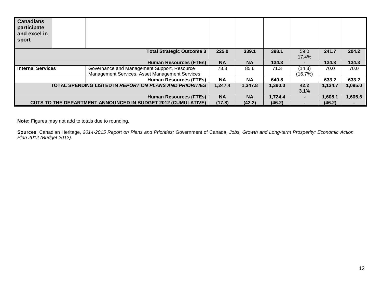| <b>Canadians</b><br>participate<br>and excel in<br>sport |                                                                     |           |           |         |                |         |         |
|----------------------------------------------------------|---------------------------------------------------------------------|-----------|-----------|---------|----------------|---------|---------|
|                                                          | <b>Total Strategic Outcome 3</b>                                    | 225.0     | 339.1     | 398.1   | 59.0           | 241.7   | 204.2   |
|                                                          |                                                                     |           |           |         | 17.4%          |         |         |
|                                                          | <b>Human Resources (FTEs)</b>                                       | <b>NA</b> | <b>NA</b> | 134.3   | $\blacksquare$ | 134.3   | 134.3   |
| <b>Internal Services</b>                                 | Governance and Management Support, Resource                         | 73.8      | 85.6      | 71.3    | (14.3)         | 70.0    | 70.0    |
|                                                          | Management Services, Asset Management Services                      |           |           |         | (16.7%)        |         |         |
|                                                          | <b>Human Resources (FTEs)</b>                                       | <b>NA</b> | <b>NA</b> | 640.8   | $\blacksquare$ | 633.2   | 633.2   |
|                                                          | <b>TOTAL SPENDING LISTED IN REPORT ON PLANS AND PRIORITIES</b>      | 1,247.4   | 1,347.8   | 1,390.0 | 42.2           | 1,134.7 | 1,095.0 |
|                                                          |                                                                     |           |           |         | 3.1%           |         |         |
|                                                          | <b>Human Resources (FTEs)</b>                                       | <b>NA</b> | <b>NA</b> | 1.724.4 | $\blacksquare$ | 1,608.1 | 1,605.6 |
|                                                          | <b>CUTS TO THE DEPARTMENT ANNOUNCED IN BUDGET 2012 (CUMULATIVE)</b> | (17.8)    | (42.2)    | (46.2)  |                | (46.2)  |         |

**Note:** Figures may not add to totals due to rounding.

**Sources**: Canadian Heritage, *2014-2015 Report on Plans and Priorities;* Government of Canada, *Jobs, Growth and Long-term Prosperity: Economic Action Plan 2012 (Budget 2012)*.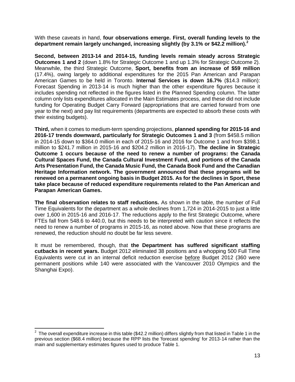With these caveats in hand, **four observations emerge. First, overall funding levels to the department remain largely unchanged, increasing slightly (by 3.1% or \$42.2 million).<sup>2</sup>**

**Second, between 2013-14 and 2014-15, funding levels remain steady across Strategic Outcomes 1 and 2** (down 1.8% for Strategic Outcome 1 and up 1.3% for Strategic Outcome 2). Meanwhile, the third Strategic Outcome, **Sport, benefits from an increase of \$59 million**  (17.4%), owing largely to additional expenditures for the 2015 Pan American and Parapan American Games to be held in Toronto. **Internal Services is down 16.7%** (\$14.3 million): Forecast Spending in 2013-14 is much higher than the other expenditure figures because it includes spending not reflected in the figures listed in the Planned Spending column. The latter column only lists expenditures allocated in the Main Estimates process, and these did not include funding for Operating Budget Carry Forward (appropriations that are carried forward from one year to the next) and pay list requirements (departments are expected to absorb these costs with their existing budgets).

**Third,** when it comes to medium-term spending projections, **planned spending for 2015-16 and 2016-17 trends downward, particularly for Strategic Outcomes 1 and 3** (from \$458.5 million in 2014-15 down to \$364.0 million in each of 2015-16 and 2016 for Outcome 1 and from \$398.1 million to \$241.7 million in 2015-16 and \$204.2 million in 2016-17). **The decline in Strategic Outcome 1 occurs because of the need to renew a number of programs: the Canada Cultural Spaces Fund, the Canada Cultural Investment Fund, and portions of the Canada Arts Presentation Fund, the Canada Music Fund, the Canada Book Fund and the Canadian Heritage Information network. The government announced that these programs will be renewed on a permanent ongoing basis in Budget 2015. As for the declines in Sport, these take place because of reduced expenditure requirements related to the Pan American and Parapan American Games.**

**The final observation relates to staff reductions.** As shown in the table, the number of Full Time Equivalents for the department as a whole declines from 1,724 in 2014-2015 to just a little over 1,600 in 2015-16 and 2016-17. The reductions apply to the first Strategic Outcome, where FTEs fall from 548.6 to 440.0, but this needs to be interpreted with caution since it reflects the need to renew a number of programs in 2015-16, as noted above. Now that these programs are renewed, the reduction should no doubt be far less severe.

It must be remembered, though, that **the Department has suffered significant staffing cutbacks in recent years.** Budget 2012 eliminated 38 positions and a whopping 500 Full Time Equivalents were cut in an internal deficit reduction exercise before Budget 2012 (360 were permanent positions while 140 were associated with the Vancouver 2010 Olympics and the Shanghai Expo).

 2 The overall expenditure increase in this table (\$42.2 million) differs slightly from that listed in Table 1 in the previous section (\$68.4 million) because the RPP lists the 'forecast spending' for 2013-14 rather than the main and supplementary estimates figures used to produce Table 1.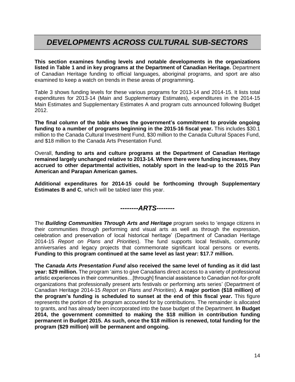### *DEVELOPMENTS ACROSS CULTURAL SUB-SECTORS*

**This section examines funding levels and notable developments in the organizations listed in Table 1 and in key programs at the Department of Canadian Heritage.** Department of Canadian Heritage funding to official languages, aboriginal programs, and sport are also examined to keep a watch on trends in these areas of programming.

Table 3 shows funding levels for these various programs for 2013-14 and 2014-15. It lists total expenditures for 2013-14 (Main and Supplementary Estimates), expenditures in the 2014-15 Main Estimates and Supplementary Estimates A and program cuts announced following Budget 2012.

**The final column of the table shows the government's commitment to provide ongoing funding to a number of programs beginning in the 2015-16 fiscal year.** This includes \$30.1 million to the Canada Cultural Investment Fund, \$30 million to the Canada Cultural Spaces Fund, and \$18 million to the Canada Arts Presentation Fund.

Overall, **funding to arts and culture programs at the Department of Canadian Heritage remained largely unchanged relative to 2013-14. Where there were funding increases, they accrued to other departmental activities, notably sport in the lead-up to the 2015 Pan American and Parapan American games.** 

**Additional expenditures for 2014-15 could be forthcoming through Supplementary Estimates B and C**, which will be tabled later this year.

*--------ARTS--------*

The *Building Communities Through Arts and Heritage* program seeks to 'engage citizens in their communities through performing and visual arts as well as through the expression, celebration and preservation of local historical heritage' (Department of Canadian Heritage 2014-15 *Report on Plans and Priorities*). The fund supports local festivals, community anniversaries and legacy projects that commemorate significant local persons or events. **Funding to this program continued at the same level as last year: \$17.7 million.** 

**The** *Canada Arts Presentation Fund* **also received the same level of funding as it did last year: \$29 million.** The program 'aims to give Canadians direct access to a variety of professional artistic experiences in their communities…[through] financial assistance to Canadian not-for-profit organizations that professionally present arts festivals or performing arts series' (Department of Canadian Heritage 2014-15 *Report on Plans and Priorities*). **A major portion (\$18 million) of the program's funding is scheduled to sunset at the end of this fiscal year.** This figure represents the portion of the program accounted for by contributions. The remainder is allocated to grants, and has already been incorporated into the base budget of the Department. **In Budget 2014, the government committed to making the \$18 million in contribution funding permanent in Budget 2015. As such, once the \$18 million is renewed, total funding for the program (\$29 million) will be permanent and ongoing.**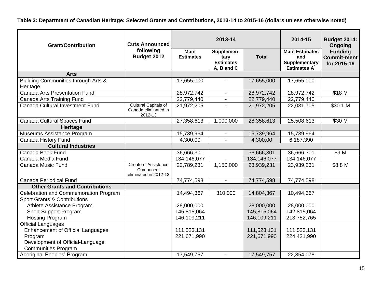**Table 3: Department of Canadian Heritage: Selected Grants and Contributions, 2013-14 to 2015-16 (dollars unless otherwise noted)**

| <b>Grant/Contribution</b>                       | <b>Cuts Announced</b>                                      |                                 | 2013-14                                              | 2014-15      | <b>Budget 2014:</b><br><b>Ongoing</b>                                   |                                                     |  |
|-------------------------------------------------|------------------------------------------------------------|---------------------------------|------------------------------------------------------|--------------|-------------------------------------------------------------------------|-----------------------------------------------------|--|
|                                                 | following<br>Budget 2012                                   | <b>Main</b><br><b>Estimates</b> | Supplemen-<br>tary<br><b>Estimates</b><br>A, B and C | <b>Total</b> | <b>Main Estimates</b><br>and<br><b>Supplementary</b><br>Estimates $A^1$ | <b>Funding</b><br><b>Commit-ment</b><br>for 2015-16 |  |
| <b>Arts</b>                                     |                                                            |                                 |                                                      |              |                                                                         |                                                     |  |
| Building Communities through Arts &<br>Heritage |                                                            | 17,655,000                      |                                                      | 17,655,000   | 17,655,000                                                              |                                                     |  |
| <b>Canada Arts Presentation Fund</b>            |                                                            | 28,972,742                      | $\blacksquare$                                       | 28,972,742   | 28,972,742                                                              | \$18 M                                              |  |
| Canada Arts Training Fund                       |                                                            | 22,779,440                      | $\frac{1}{2}$                                        | 22,779,440   | 22,779,440                                                              |                                                     |  |
| Canada Cultural Investment Fund                 | Cultural Capitals of<br>Canada eliminated in<br>2012-13    | 21,972,205                      |                                                      | 21,972,205   | 22,031,705                                                              | \$30.1 M                                            |  |
| Canada Cultural Spaces Fund                     |                                                            | 27,358,613                      | 1,000,000                                            | 28,358,613   | 25,508,613                                                              | \$30 M                                              |  |
| Heritage                                        |                                                            |                                 |                                                      |              |                                                                         |                                                     |  |
| Museums Assistance Program                      |                                                            | 15,739,964                      |                                                      | 15,739,964   | 15,739,964                                                              |                                                     |  |
| Canada History Fund                             |                                                            | 4,300,00                        |                                                      | 4,300,00     | 6,187,390                                                               |                                                     |  |
| <b>Cultural Industries</b>                      |                                                            |                                 |                                                      |              |                                                                         |                                                     |  |
| Canada Book Fund                                |                                                            | 36,666,301                      |                                                      | 36,666,301   | 36,666,301                                                              | \$9 M                                               |  |
| Canada Media Fund                               |                                                            | 134,146,077                     |                                                      | 134,146,077  | 134,146,077                                                             |                                                     |  |
| Canada Music Fund                               | Creators' Assistance<br>Component<br>eliminated in 2012-13 | 22,789,231                      | 1,150,000                                            | 23,939,231   | 23,939,231                                                              | \$8.8 M                                             |  |
| <b>Canada Periodical Fund</b>                   |                                                            | 74,774,598                      |                                                      | 74,774,598   | 74,774,598                                                              |                                                     |  |
| <b>Other Grants and Contributions</b>           |                                                            |                                 |                                                      |              |                                                                         |                                                     |  |
| Celebration and Commemoration Program           |                                                            | 14,494,367                      | 310,000                                              | 14,804,367   | 10,494,367                                                              |                                                     |  |
| <b>Sport Grants &amp; Contributions</b>         |                                                            |                                 |                                                      |              |                                                                         |                                                     |  |
| Athlete Assistance Program                      |                                                            | 28,000,000                      |                                                      | 28,000,000   | 28,000,000                                                              |                                                     |  |
| Sport Support Program                           |                                                            | 145,815,064                     |                                                      | 145,815,064  | 142,815,064                                                             |                                                     |  |
| <b>Hosting Program</b>                          |                                                            | 146,109,211                     |                                                      | 146,109,211  | 213,752,765                                                             |                                                     |  |
| <b>Official Languages</b>                       |                                                            |                                 |                                                      |              |                                                                         |                                                     |  |
| <b>Enhancement of Official Languages</b>        |                                                            | 111,523,131                     |                                                      | 111,523,131  | 111,523,131                                                             |                                                     |  |
| Program                                         |                                                            | 221,671,990                     |                                                      | 221,671,990  | 224,421,990                                                             |                                                     |  |
| Development of Official-Language                |                                                            |                                 |                                                      |              |                                                                         |                                                     |  |
| <b>Communities Program</b>                      |                                                            |                                 |                                                      |              |                                                                         |                                                     |  |
| Aboriginal Peoples' Program                     |                                                            | 17,549,757                      |                                                      | 17,549,757   | 22,854,078                                                              |                                                     |  |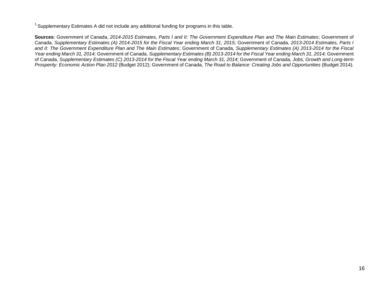$1$  Supplementary Estimates A did not include any additional funding for programs in this table.

**Sources**: Government of Canada, *2014-2015 Estimates, Parts I and II: The Government Expenditure Plan and The Main Estimates*; Government of Canada, *Supplementary Estimates (A) 2014-2015 for the Fiscal Year ending March 31, 2015;* Government of Canada, *2013-2014 Estimates, Parts I and II: The Government Expenditure Plan and The Main Estimates*; Government of Canada, *Supplementary Estimates (A) 2013-2014 for the Fiscal Year ending March 31, 2014;* Government of Canada, *Supplementary Estimates (B) 2013-2014 for the Fiscal Year ending March 31, 2014;* Government of Canada, *Supplementary Estimates (C) 2013-2014 for the Fiscal Year ending March 31, 2014;* Government of Canada, *Jobs, Growth and Long-term Prosperity: Economic Action Plan 2012* (Budget 2012); Government of Canada, *The Road to Balance: Creating Jobs and Opportunities* (Budget 2014).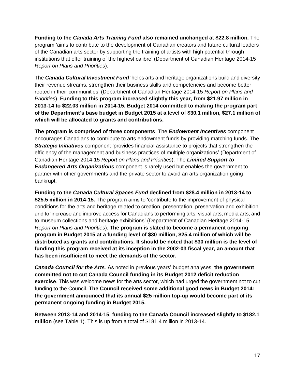**Funding to the** *Canada Arts Training Fund* **also remained unchanged at \$22.8 million.** The program 'aims to contribute to the development of Canadian creators and future cultural leaders of the Canadian arts sector by supporting the training of artists with high potential through institutions that offer training of the highest calibre' (Department of Canadian Heritage 2014-15 *Report on Plans and Priorities*).

The *Canada Cultural Investment Fund* 'helps arts and heritage organizations build and diversity their revenue streams, strengthen their business skills and competencies and become better rooted in their communities' (Department of Canadian Heritage 2014-15 *Report on Plans and Priorities*). **Funding to this program increased slightly this year, from \$21.97 million in 2013-14 to \$22.03 million in 2014-15. Budget 2014 committed to making the program part of the Department's base budget in Budget 2015 at a level of \$30.1 million, \$27.1 million of which will be allocated to grants and contributions.**

**The program is comprised of three components**. The *Endowment Incentives* component encourages Canadians to contribute to arts endowment funds by providing matching funds. The *Strategic Initiatives* component 'provides financial assistance to projects that strengthen the efficiency of the management and business practices of multiple organizations' (Department of Canadian Heritage 2014-15 *Report on Plans and Priorities*). The *Limited Support to Endangered Arts Organizations* component is rarely used but enables the government to partner with other governments and the private sector to avoid an arts organization going bankrupt.

**Funding to the** *Canada Cultural Spaces Fund* **declined from \$28.4 million in 2013-14 to \$25.5 million in 2014-15.** The program aims to 'contribute to the improvement of physical conditions for the arts and heritage related to creation, presentation, preservation and exhibition' and to 'increase and improve access for Canadians to performing arts, visual arts, media arts, and to museum collections and heritage exhibitions' (Department of Canadian Heritage 2014-15 *Report on Plans and Priorities*). **The program is slated to become a permanent ongoing program in Budget 2015 at a funding level of \$30 million, \$25.4 million of which will be distributed as grants and contributions. It should be noted that \$30 million is the level of funding this program received at its inception in the 2002-03 fiscal year, an amount that has been insufficient to meet the demands of the sector.**

*Canada Council for the Arts*. As noted in previous years' budget analyses, **the government committed not to cut Canada Council funding in its Budget 2012 deficit reduction exercise**. This was welcome news for the arts sector, which had urged the government not to cut funding to the Council. **The Council received some additional good news in Budget 2014: the government announced that its annual \$25 million top-up would become part of its permanent ongoing funding in Budget 2015.**

**Between 2013-14 and 2014-15, funding to the Canada Council increased slightly to \$182.1 million** (see Table 1). This is up from a total of \$181.4 million in 2013-14.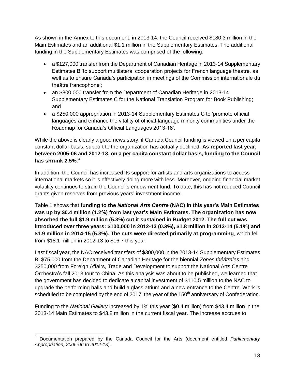As shown in the Annex to this document, in 2013-14, the Council received \$180.3 million in the Main Estimates and an additional \$1.1 million in the Supplementary Estimates. The additional funding in the Supplementary Estimates was comprised of the following:

- a \$127,000 transfer from the Department of Canadian Heritage in 2013-14 Supplementary Estimates B 'to support multilateral cooperation projects for French language theatre, as well as to ensure Canada's participation in meetings of the Commission internationale du théâtre francophone';
- an \$800,000 transfer from the Department of Canadian Heritage in 2013-14 Supplementary Estimates C for the National Translation Program for Book Publishing; and
- a \$250,000 appropriation in 2013-14 Supplementary Estimates C to 'promote official languages and enhance the vitality of official-language minority communities under the Roadmap for Canada's Official Languages 2013-18'.

While the above is clearly a good news story, if Canada Council funding is viewed on a per capita constant dollar basis, support to the organization has actually declined. **As reported last year, between 2005-06 and 2012-13, on a per capita constant dollar basis, funding to the Council has shrunk 2.5%**. 3

In addition, the Council has increased its support for artists and arts organizations to access international markets so it is effectively doing more with less. Moreover, ongoing financial market volatility continues to strain the Council's endowment fund. To date, this has not reduced Council grants given reserves from previous years' investment income.

Table 1 shows that **funding to the** *National Arts Centre* **(NAC) in this year's Main Estimates was up by \$0.4 million (1.2%) from last year's Main Estimates. The organization has now absorbed the full \$1.9 million (5.3%) cut it sustained in Budget 2012. The full cut was introduced over three years: \$100,000 in 2012-13 (0.3%), \$1.8 million in 2013-14 (5.1%) and \$1.9 million in 2014-15 (5.3%). The cuts were directed primarily at programming**, which fell from \$18.1 million in 2012-13 to \$16.7 this year.

Last fiscal year, the NAC received transfers of \$300,000 in the 2013-14 Supplementary Estimates B: \$75,000 from the Department of Canadian Heritage for the biennial *Zones théâtrales* and \$250,000 from Foreign Affairs, Trade and Development to support the National Arts Centre Orchestra's fall 2013 tour to China*.* As this analysis was about to be published, we learned that the government has decided to dedicate a capital investment of \$110.5 million to the NAC to upgrade the performing halls and build a glass atrium and a new entrance to the Centre. Work is scheduled to be completed by the end of 2017, the year of the 150<sup>th</sup> anniversary of Confederation.

Funding to the *National Gallery* increased by 1% this year (\$0.4 million) from \$43.4 million in the 2013-14 Main Estimates to \$43.8 million in the current fiscal year. The increase accrues to

 <sup>3</sup> Documentation prepared by the Canada Council for the Arts (document entitled *Parliamentary Appropriation, 2005-06 to 2012-13*).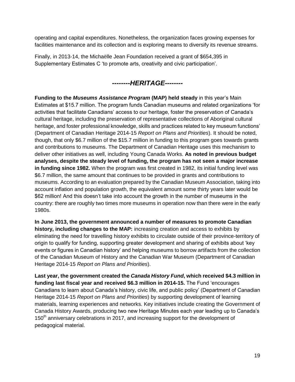operating and capital expenditures. Nonetheless, the organization faces growing expenses for facilities maintenance and its collection and is exploring means to diversify its revenue streams.

Finally, in 2013-14, the Michaëlle Jean Foundation received a grant of \$654,395 in Supplementary Estimates C 'to promote arts, creativity and civic participation'.

### *--------HERITAGE--------*

**Funding to the** *Museums Assistance Program* **(MAP) held steady** in this year's Main Estimates at \$15.7 million. The program funds Canadian museums and related organizations 'for activities that facilitate Canadians' access to our heritage, foster the preservation of Canada's cultural heritage, including the preservation of representative collections of Aboriginal cultural heritage, and foster professional knowledge, skills and practices related to key museum functions' (Department of Canadian Heritage 2014-15 *Report on Plans and Priorities*). It should be noted, though, that only \$6.7 million of the \$15.7 million in funding to this program goes towards grants and contributions to museums. The Department of Canadian Heritage uses this mechanism to deliver other initiatives as well, including Young Canada Works. **As noted in previous budget analyses, despite the steady level of funding, the program has not seen a major increase in funding since 1982.** When the program was first created in 1982, its initial funding level was \$6.7 million, the same amount that continues to be provided in grants and contributions to museums. According to an evaluation prepared by the Canadian Museum Association, taking into account inflation and population growth, the equivalent amount some thirty years later would be \$62 million! And this doesn't take into account the growth in the number of museums in the country: there are roughly two times more museums in operation now than there were in the early 1980s.

**In June 2013, the government announced a number of measures to promote Canadian history, including changes to the MAP:** increasing creation and access to exhibits by eliminating the need for travelling history exhibits to circulate outside of their province-territory of origin to qualify for funding, supporting greater development and sharing of exhibits about 'key events or figures in Canadian history' and helping museums to borrow artifacts from the collection of the Canadian Museum of History and the Canadian War Museum (Department of Canadian Heritage 2014-15 *Report on Plans and Priorities*).

**Last year, the government created the** *Canada History Fund***, which received \$4.3 million in funding last fiscal year and received \$6.3 million in 2014-15.** The Fund 'encourages Canadians to learn about Canada's history, civic life, and public policy' (Department of Canadian Heritage 2014-15 *Report on Plans and Priorities*) by supporting development of learning materials, learning experiences and networks. Key initiatives include creating the Government of Canada History Awards, producing two new Heritage Minutes each year leading up to Canada's 150<sup>th</sup> anniversary celebrations in 2017, and increasing support for the development of pedagogical material.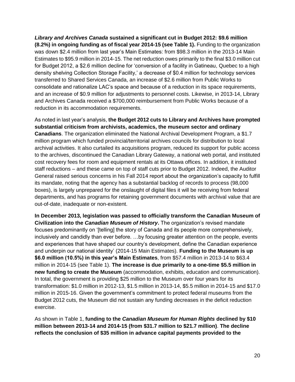*Library and Archives Canada* **sustained a significant cut in Budget 2012: \$9.6 million (8.2%) in ongoing funding as of fiscal year 2014-15 (see Table 1).** Funding to the organization was down \$2.4 million from last year's Main Estimates: from \$98.3 million in the 2013-14 Main Estimates to \$95.9 million in 2014-15. The net reduction owes primarily to the final \$3.0 million cut for Budget 2012, a \$2.6 million decline for 'conversion of a facility in Gatineau, Quebec to a high density shelving Collection Storage Facility,' a decrease of \$0.4 million for technology services transferred to Shared Services Canada, an increase of \$2.6 million from Public Works to consolidate and rationalize LAC's space and because of a reduction in its space requirements, and an increase of \$0.9 million for adjustments to personnel costs. Likewise, in 2013-14, Library and Archives Canada received a \$700,000 reimbursement from Public Works because of a reduction in its accommodation requirements.

As noted in last year's analysis, **the Budget 2012 cuts to Library and Archives have prompted substantial criticism from archivists, academics, the museum sector and ordinary Canadians**. The organization eliminated the National Archival Development Program, a \$1.7 million program which funded provincial/territorial archives councils for distribution to local archival activities. It also curtailed its acquisitions program, reduced its support for public access to the archives, discontinued the Canadian Library Gateway, a national web portal, and instituted cost recovery fees for room and equipment rentals at its Ottawa offices. In addition, it instituted staff reductions – and these came on top of staff cuts prior to Budget 2012. Indeed, the Auditor General raised serious concerns in his Fall 2014 report about the organization's capacity to fulfill its mandate, noting that the agency has a substantial backlog of records to process (98,000 boxes), is largely unprepared for the onslaught of digital files it will be receiving from federal departments, and has programs for retaining government documents with archival value that are out-of-date, inadequate or non-existent.

**In December 2013, legislation was passed to officially transform the Canadian Museum of Civilization into the** *Canadian Museum of History***.** The organization's revised mandate focuses predominantly on '[telling] the story of Canada and its people more comprehensively, inclusively and candidly than ever before. …by focusing greater attention on the people, events and experiences that have shaped our country's development, define the Canadian experience and underpin our national identity' (2014-15 Main Estimates). **Funding to the Museum is up \$6.0 million (10.5%) in this year's Main Estimates**, from \$57.4 million in 2013-14 to \$63.4 million in 2014-15 (see Table 1). **The increase is due primarily to a one-time \$5.5 million in new funding to create the Museum** (accommodation, exhibits, education and communication). In total, the government is providing \$25 million to the Museum over four years for its transformation: \$1.0 million in 2012-13, \$1.5 million in 2013-14, \$5.5 million in 2014-15 and \$17.0 million in 2015-16. Given the government's commitment to protect federal museums from the Budget 2012 cuts, the Museum did not sustain any funding decreases in the deficit reduction exercise.

As shown in Table 1, **funding to the** *Canadian Museum for Human Rights* **declined by \$10 million between 2013-14 and 2014-15 (from \$31.7 million to \$21.7 million)**. **The decline reflects the conclusion of \$35 million in advance capital payments provided to the**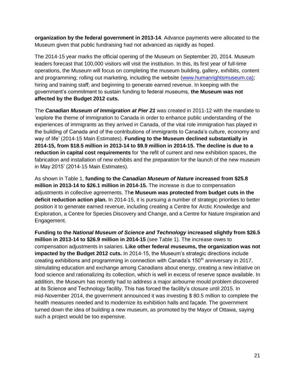**organization by the federal government in 2013-14**. Advance payments were allocated to the Museum given that public fundraising had not advanced as rapidly as hoped.

The 2014-15 year marks the official opening of the Museum on September 20, 2014. Museum leaders forecast that 100,000 visitors will visit the institution. In this, its first year of full-time operations, the Museum will focus on completing the museum building, gallery, exhibits, content and programming; rolling out marketing, including the website [\(www.humanrightsmuseum.ca\)](http://www.humanrightsmuseum.ca/); hiring and training staff; and beginning to generate earned revenue. In keeping with the government's commitment to sustain funding to federal museums, **the Museum was not affected by the Budget 2012 cuts.**

The *Canadian Museum of Immigration at Pier 21* was created in 2011-12 with the mandate to 'explore the theme of immigration to Canada in order to enhance public understanding of the experiences of immigrants as they arrived in Canada, of the vital role immigration has played in the building of Canada and of the contributions of immigrants to Canada's culture, economy and way of life' (2014-15 Main Estimates). **Funding to the Museum declined substantially in 2014-15, from \$18.5 million in 2013-14 to \$9.9 million in 2014-15. The decline is due to a reduction in capital cost requirements** for 'the refit of current and new exhibition spaces, the fabrication and installation of new exhibits and the preparation for the launch of the new museum in May 2015' (2014-15 Main Estimates).

As shown in Table 1, **funding to the** *Canadian Museum of Nature* **increased from \$25.8 million in 2013-14 to \$26.1 million in 2014-15.** The increase is due to compensation adjustments in collective agreements. Th**e Museum was protected from budget cuts in the deficit reduction action plan.** In 2014-15, it is pursuing a number of strategic priorities to better position it to generate earned revenue, including creating a Centre for Arctic Knowledge and Exploration, a Centre for Species Discovery and Change, and a Centre for Nature Inspiration and Engagement.

**Funding to the** *National Museum of Science and Technology* **increased slightly from \$26.5 million in 2013-14 to \$26.9 million in 2014-15** (see Table 1). The increase owes to compensation adjustments in salaries. **Like other federal museums, the organization was not impacted by the Budget 2012 cuts.** In 2014-15, the Museum's strategic directions include creating exhibitions and programming in connection with Canada's  $150<sup>th</sup>$  anniversary in 2017, stimulating education and exchange among Canadians about energy, creating a new initiative on food science and rationalizing its collection, which is well in excess of reserve space available. In addition, the Museum has recently had to address a major airbourne mould problem discovered at its Science and Technology facility. This has forced the facility's closure until 2015. In mid-November 2014, the government announced it was investing \$ 80.5 million to complete the health measures needed and to modernize its exhibition halls and façade. The government turned down the idea of building a new museum, as promoted by the Mayor of Ottawa, saying such a project would be too expensive.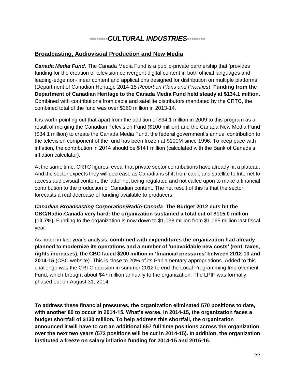### *--------CULTURAL INDUSTRIES--------*

#### **Broadcasting, Audiovisual Production and New Media**

*Canada Media Fund*. The Canada Media Fund is a public-private partnership that 'provides funding for the creation of television convergent digital content in both official languages and leading-edge non-linear content and applications designed for distribution on multiple platforms' (Department of Canadian Heritage 2014-15 *Report on Plans and Priorities*). **Funding from the Department of Canadian Heritage to the Canada Media Fund held steady at \$134.1 million**. Combined with contributions from cable and satellite distributors mandated by the CRTC, the combined total of the fund was over \$360 million in 2013-14.

It is worth pointing out that apart from the addition of \$34.1 million in 2009 to this program as a result of merging the Canadian Television Fund (\$100 million) and the Canada New Media Fund (\$34.1 million) to create the Canada Media Fund, the federal government's annual contribution to the television component of the fund has been frozen at \$100M since 1996. To keep pace with inflation, the contribution in 2014 should be \$141 million (calculated with the Bank of Canada's inflation calculator).

At the same time, CRTC figures reveal that private sector contributions have already hit a plateau. And the sector expects they will decrease as Canadians shift from cable and satellite to Internet to access audiovisual content, the latter not being regulated and not called upon to make a financial contribution to the production of Canadian content. The net result of this is that the sector forecasts a real decrease of funding available to producers.

*Canadian Broadcasting Corporation/Radio-Canada*. **The Budget 2012 cuts hit the CBC/Radio-Canada very hard: the organization sustained a total cut of \$115.0 million (10.7%).** Funding to the organization is now down to \$1,038 million from \$1,065 million last fiscal year.

As noted in last year's analysis, **combined with expenditures the organization had already planned to modernize its operations and a number of 'unavoidable new costs' (rent, taxes, rights increases), the CBC faced \$200 million in 'financial pressures' between 2012-13 and 2014-15** (CBC website). This is close to 20% of its Parliamentary appropriations. Added to this challenge was the CRTC decision in summer 2012 to end the Local Programming Improvement Fund, which brought about \$47 million annually to the organization. The LPIF was formally phased out on August 31, 2014.

**To address these financial pressures, the organization eliminated 570 positions to date, with another 80 to occur in 2014-15. What's worse, in 2014-15, the organization faces a budget shortfall of \$130 million. To help address this shortfall, the organization announced it will have to cut an additional 657 full time positions across the organization over the next two years (573 positions will be cut in 2014-15). In addition, the organization instituted a freeze on salary inflation funding for 2014-15 and 2015-16.**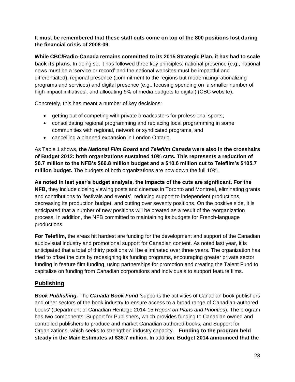**It must be remembered that these staff cuts come on top of the 800 positions lost during the financial crisis of 2008-09.** 

**While CBC/Radio-Canada remains committed to its 2015 Strategic Plan, it has had to scale back its plans**. In doing so, it has followed three key principles: national presence (e.g., national news must be a 'service or record' and the national websites must be impactful and differentiated), regional presence (commitment to the regions but modernizing/rationalizing programs and services) and digital presence (e.g., focusing spending on 'a smaller number of high-impact initiatives', and allocating 5% of media budgets to digital) (CBC website).

Concretely, this has meant a number of key decisions:

- getting out of competing with private broadcasters for professional sports;
- consolidating regional programming and replacing local programming in some communities with regional, network or syndicated programs, and
- cancelling a planned expansion in London Ontario.

As Table 1 shows, **the** *National Film Board* **and** *Telefilm Canada* **were also in the crosshairs of Budget 2012: both organizations sustained 10% cuts. This represents a reduction of \$6.7 million to the NFB's \$66.8 million budget and a \$10.6 million cut to Telefilm's \$105.7 million budget.** The budgets of both organizations are now down the full 10%.

**As noted in last year's budget analysis, the impacts of the cuts are significant. For the NFB,** they include closing viewing posts and cinemas in Toronto and Montreal, eliminating grants and contributions to 'festivals and events', reducing support to independent productions, decreasing its production budget, and cutting over seventy positions. On the positive side, it is anticipated that a number of new positions will be created as a result of the reorganization process. In addition, the NFB committed to maintaining its budgets for French-language productions.

**For Telefilm,** the areas hit hardest are funding for the development and support of the Canadian audiovisual industry and promotional support for Canadian content. As noted last year, it is anticipated that a total of thirty positions will be eliminated over three years. The organization has tried to offset the cuts by redesigning its funding programs, encouraging greater private sector funding in feature film funding, using partnerships for promotion and creating the Talent Fund to capitalize on funding from Canadian corporations and individuals to support feature films.

#### **Publishing**

*Book Publishing.* The *Canada Book Fund* 'supports the activities of Canadian book publishers and other sectors of the book industry to ensure access to a broad range of Canadian-authored books' (Department of Canadian Heritage 2014-15 *Report on Plans and Priorities*). The program has two components: Support for Publishers, which provides funding to Canadian owned and controlled publishers to produce and market Canadian authored books, and Support for Organizations, which seeks to strengthen industry capacity. **Funding to the program held steady in the Main Estimates at \$36.7 million.** In addition, **Budget 2014 announced that the**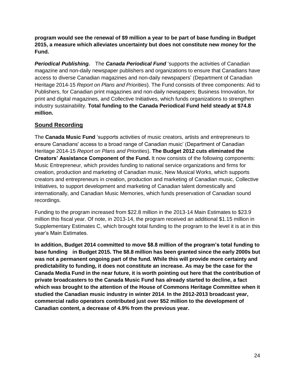**program would see the renewal of \$9 million a year to be part of base funding in Budget 2015, a measure which alleviates uncertainty but does not constitute new money for the Fund.**

*Periodical Publishing.* The *Canada Periodical Fund* 'supports the activities of Canadian magazine and non-daily newspaper publishers and organizations to ensure that Canadians have access to diverse Canadian magazines and non-daily newspapers' (Department of Canadian Heritage 2014-15 *Report on Plans and Priorities*). The Fund consists of three components: Aid to Publishers, for Canadian print magazines and non-daily newspapers; Business Innovation, for print and digital magazines, and Collective Initiatives, which funds organizations to strengthen industry sustainability. **Total funding to the Canada Periodical Fund held steady at \$74.8 million.** 

### **Sound Recording**

The **Canada Music Fund** 'supports activities of music creators, artists and entrepreneurs to ensure Canadians' access to a broad range of Canadian music' (Department of Canadian Heritage 2014-15 *Report on Plans and Priorities*). **The Budget 2012 cuts eliminated the Creators' Assistance Component of the Fund.** It now consists of the following components: Music Entrepreneur, which provides funding to national service organizations and firms for creation, production and marketing of Canadian music, New Musical Works, which supports creators and entrepreneurs in creation, production and marketing of Canadian music, Collective Initiatives, to support development and marketing of Canadian talent domestically and internationally, and Canadian Music Memories, which funds preservation of Canadian sound recordings.

Funding to the program increased from \$22.8 million in the 2013-14 Main Estimates to \$23.9 million this fiscal year. Of note, in 2013-14, the program received an additional \$1.15 million in Supplementary Estimates C, which brought total funding to the program to the level it is at in this year's Main Estimates.

**In addition, Budget 2014 committed to move \$8.8 million of the program's total funding to base funding in Budget 2015. The \$8.8 million has been granted since the early 2000s but was not a permanent ongoing part of the fund. While this will provide more certainty and predictability to funding, it does not constitute an increase. As may be the case for the Canada Media Fund in the near future, it is worth pointing out here that the contribution of private broadcasters to the Canada Music Fund has already started to decline, a fact which was brought to the attention of the House of Commons Heritage Committee when it studied the Canadian music industry in winter 2014**. **In the 2012-2013 broadcast year, commercial radio operators contributed just over \$52 million to the development of Canadian content, a decrease of 4.9% from the previous year.**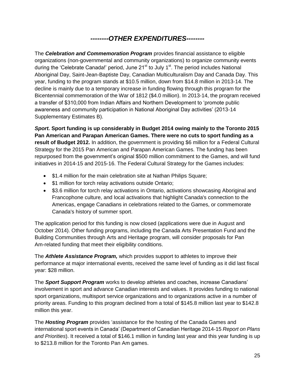### *--------OTHER EXPENDITURES--------*

The *Celebration and Commemoration Program* provides financial assistance to eligible organizations (non-governmental and community organizations) to organize community events during the 'Celebrate Canada!' period, June  $21<sup>st</sup>$  to July 1 $<sup>st</sup>$ . The period includes National</sup> Aboriginal Day, Saint-Jean-Baptiste Day, Canadian Multiculturalism Day and Canada Day. This year, funding to the program stands at \$10.5 million, down from \$14.8 million in 2013-14. The decline is mainly due to a temporary increase in funding flowing through this program for the Bicentennial commemoration of the War of 1812 (\$4.0 million). In 2013-14, the program received a transfer of \$310,000 from Indian Affairs and Northern Development to 'promote public awareness and community participation in National Aboriginal Day activities' (2013-14 Supplementary Estimates B).

*Sport.* **Sport funding is up considerably in Budget 2014 owing mainly to the Toronto 2015 Pan American and Parapan American Games. There were no cuts to sport funding as a result of Budget 2012.** In addition, the government is providing \$6 million for a Federal Cultural Strategy for the 2015 Pan American and Parapan American Games. The funding has been repurposed from the government's original \$500 million commitment to the Games, and will fund initiatives in 2014-15 and 2015-16. The Federal Cultural Strategy for the Games includes:

- \$1.4 million for the main celebration site at Nathan Philips Square;
- \$1 million for torch relay activations outside Ontario;
- \$3.6 million for torch relay activations in Ontario, activations showcasing Aboriginal and Francophone culture, and local activations that highlight Canada's connection to the Americas, engage Canadians in celebrations related to the Games, or commemorate Canada's history of summer sport.

The application period for this funding is now closed (applications were due in August and October 2014). Other funding programs, including the Canada Arts Presentation Fund and the Building Communities through Arts and Heritage program, will consider proposals for Pan Am-related funding that meet their eligibility conditions.

The *Athlete Assistance Program,* which provides support to athletes to improve their performance at major international events, received the same level of funding as it did last fiscal year: \$28 million.

The *Sport Support Program* works to develop athletes and coaches, increase Canadians' involvement in sport and advance Canadian interests and values. It provides funding to national sport organizations, multisport service organizations and to organizations active in a number of priority areas. Funding to this program declined from a total of \$145.8 million last year to \$142.8 million this year.

The *Hosting Program* provides 'assistance for the hosting of the Canada Games and international sport events in Canada' (Department of Canadian Heritage 2014-15 *Report on Plans and Priorities*). It received a total of \$146.1 million in funding last year and this year funding is up to \$213.8 million for the Toronto Pan Am games.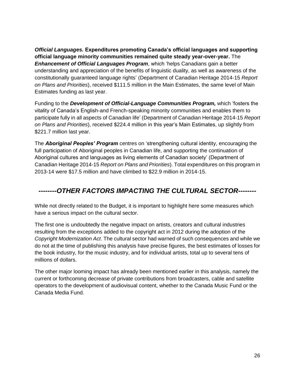*Official Languages.* **Expenditures promoting Canada's official languages and supporting official language minority communities remained quite steady year-over-year.** The *Enhancement of Official Languages Program*, which 'helps Canadians gain a better understanding and appreciation of the benefits of linguistic duality, as well as awareness of the constitutionally guaranteed language rights' (Department of Canadian Heritage 2014-15 *Report on Plans and Priorities*), received \$111.5 million in the Main Estimates, the same level of Main Estimates funding as last year.

Funding to the *Development of Official-Language Communities Program,* which 'fosters the vitality of Canada's English-and French-speaking minority communities and enables them to participate fully in all aspects of Canadian life' (Department of Canadian Heritage 2014-15 *Report on Plans and Priorities*), received \$224.4 million in this year's Main Estimates, up slightly from \$221.7 million last year.

The *Aboriginal Peoples' Program* centres on 'strengthening cultural identity, encouraging the full participation of Aboriginal peoples in Canadian life, and supporting the continuation of Aboriginal cultures and languages as living elements of Canadian society' (Department of Canadian Heritage 2014-15 *Report on Plans and Priorities*). Total expenditures on this program in 2013-14 were \$17.5 million and have climbed to \$22.9 million in 2014-15.

### *--------OTHER FACTORS IMPACTING THE CULTURAL SECTOR--------*

While not directly related to the Budget, it is important to highlight here some measures which have a serious impact on the cultural sector.

The first one is undoubtedly the negative impact on artists, creators and cultural industries resulting from the exceptions added to the copyright act in 2012 during the adoption of the *Copyright Modernization Act*. The cultural sector had warned of such consequences and while we do not at the time of publishing this analysis have precise figures, the best estimates of losses for the book industry, for the music industry, and for individual artists, total up to several tens of millions of dollars.

The other major looming impact has already been mentioned earlier in this analysis, namely the current or forthcoming decrease of private contributions from broadcasters, cable and satellite operators to the development of audiovisual content, whether to the Canada Music Fund or the Canada Media Fund.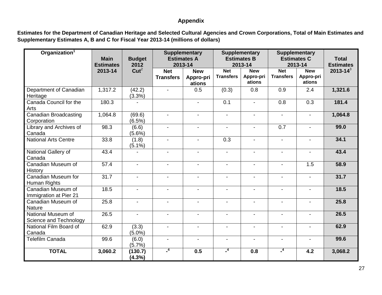#### **Appendix**

**Estimates for the Department of Canadian Heritage and Selected Cultural Agencies and Crown Corporations, Total of Main Estimates and Supplementary Estimates A, B and C for Fiscal Year 2013-14 (millions of dollars)**

| Organization <sup>1</sup>                    | <b>Main</b><br><b>Estimates</b> | <b>Budget</b><br>2012 | <b>Supplementary</b><br><b>Estimates A</b><br>2013-14 |                                   |                                | <b>Supplementary</b><br><b>Estimates B</b><br>2013-14 |                                | <b>Supplementary</b><br><b>Estimates C</b><br>2013-14 | <b>Total</b><br><b>Estimates</b> |
|----------------------------------------------|---------------------------------|-----------------------|-------------------------------------------------------|-----------------------------------|--------------------------------|-------------------------------------------------------|--------------------------------|-------------------------------------------------------|----------------------------------|
|                                              | 2013-14                         | Cut <sup>2</sup>      | <b>Net</b><br><b>Transfers</b>                        | <b>New</b><br>Appro-pri<br>ations | <b>Net</b><br><b>Transfers</b> | <b>New</b><br>Appro-pri<br>ations                     | <b>Net</b><br><b>Transfers</b> | <b>New</b><br>Appro-pri<br>ations                     | $2013 - 14^3$                    |
| Department of Canadian<br>Heritage           | 1,317.2                         | (42.2)<br>(3.3%)      | $\blacksquare$                                        | 0.5                               | (0.3)                          | 0.8                                                   | 0.9                            | 2.4                                                   | 1,321.6                          |
| Canada Council for the<br>Arts               | 180.3                           |                       |                                                       |                                   | $\overline{0.1}$               | $\blacksquare$                                        | $\overline{0.8}$               | $\overline{0.3}$                                      | 181.4                            |
| <b>Canadian Broadcasting</b><br>Corporation  | 1,064.8                         | (69.6)<br>$(6.5\%)$   | $\overline{\phantom{a}}$                              | $\blacksquare$                    | $\overline{\phantom{a}}$       | $\blacksquare$                                        | $\blacksquare$                 | $\overline{\phantom{a}}$                              | 1,064.8                          |
| Library and Archives of<br>Canada            | 98.3                            | (6.6)<br>$(5.6\%)$    | $\blacksquare$                                        | $\blacksquare$                    | $\blacksquare$                 | $\blacksquare$                                        | 0.7                            | $\blacksquare$                                        | 99.0                             |
| <b>National Arts Centre</b>                  | 33.8                            | (1.8)<br>$(5.1\%)$    | $\blacksquare$                                        |                                   | $\overline{0.3}$               |                                                       |                                |                                                       | 34.1                             |
| National Gallery of<br>Canada                | 43.4                            |                       | $\blacksquare$                                        | $\blacksquare$                    | $\blacksquare$                 | $\blacksquare$                                        | $\blacksquare$                 | $\blacksquare$                                        | 43.4                             |
| Canadian Museum of<br>History                | 57.4                            | $\blacksquare$        | $\blacksquare$                                        |                                   | $\blacksquare$                 |                                                       |                                | 1.5                                                   | 58.9                             |
| Canadian Museum for<br>Human Rights          | 31.7                            | $\blacksquare$        | $\blacksquare$                                        | $\blacksquare$                    | $\overline{\phantom{a}}$       | $\blacksquare$                                        | $\overline{\phantom{0}}$       | $\blacksquare$                                        | 31.7                             |
| Canadian Museum of<br>Immigration at Pier 21 | 18.5                            | $\blacksquare$        | $\blacksquare$                                        | $\blacksquare$                    | $\blacksquare$                 | $\overline{a}$                                        |                                | $\overline{a}$                                        | 18.5                             |
| Canadian Museum of<br><b>Nature</b>          | 25.8                            | $\blacksquare$        | $\blacksquare$                                        | $\blacksquare$                    | $\blacksquare$                 |                                                       |                                |                                                       | 25.8                             |
| National Museum of<br>Science and Technology | 26.5                            | $\blacksquare$        | $\blacksquare$                                        | $\blacksquare$                    | $\blacksquare$                 | $\blacksquare$                                        | $\blacksquare$                 | $\blacksquare$                                        | 26.5                             |
| National Film Board of<br>Canada             | 62.9                            | (3.3)<br>$(5.0\%)$    | $\blacksquare$                                        |                                   | $\overline{\phantom{0}}$       | $\blacksquare$                                        | $\blacksquare$                 | $\blacksquare$                                        | 62.9                             |
| <b>Telefilm Canada</b>                       | 99.6                            | (6.0)<br>(5.7%)       | $\blacksquare$                                        | $\blacksquare$                    | $\blacksquare$                 | $\blacksquare$                                        |                                | $\blacksquare$                                        | 99.6                             |
| <b>TOTAL</b>                                 | 3,060.2                         | (130.7)<br>$(4.3\%)$  | $^{\circ}$                                            | 0.5                               | $\overline{1}$                 | 0.8                                                   | $^{-4}$                        | 4.2                                                   | 3,068.2                          |